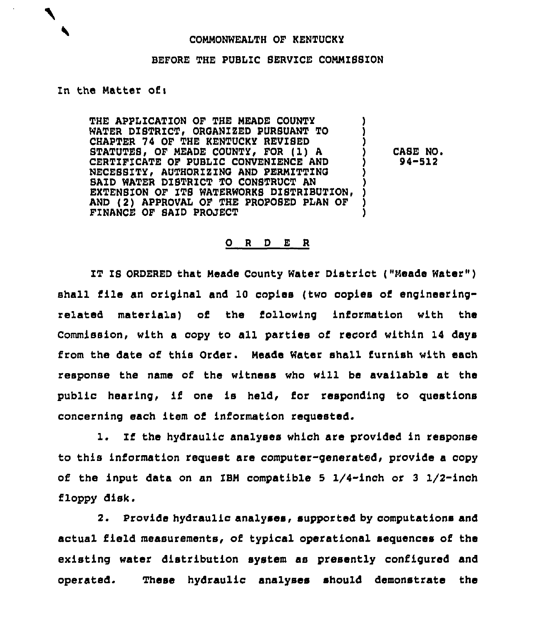## COMMONWEALTH OF KENTUCKY

## BEFORE THE PUBLIC SERVICE COMMISSION

## In the Natter ofi

THE APPLICATiON OF THE HEADE COUNTY WATER DISTRICT< ORQANZZED PURSUANT TO CHAPTER 74 OF THE KENTUCKY REVISED BTATUTES OF MEADE COUNTY FOR (1) <sup>A</sup> CERTIFICATE OF PUBLIC CONVENIENCE AND NECESSITY, AUTHORIZING AND PERMITTING SAID WATER DISTRICT TO CONSTRUCT AN EXTENSION OF ITS WATERWORKS DISTRIBUTION, AND (2) APPROVAL OF THE PROPOSED PLAN OF FINANCE OF SAID PROJECT

CASE NO. 94-512

## 0 <sup>R</sup> <sup>D</sup> E <sup>R</sup>

IT IS ORDERED that Meade County Water District ("Meade Water") shall file an original and 10 copies (two copies of engineeringrelated materials) of the following information with the Commission, with a copy to all parties of record within 14 days from the date of this Order. Meade Water shall furnish with each response the name of the witness who will be available at the public hearing, if one is held, for responding to questions concerning each item of information requested.

1. If the hydraulic analyses which are provided in response to this information request are computer-generated, provide a copy of the input data on an IBM compatible 5  $1/4$ -inch or 3  $1/2$ -inch floppy disk.

2. Provide hydraulic analyses, supported by computations and actual field measurements, of typical operational sequences of the existing water distribution system as presently configured and operated. These hydraulic analyses should demonstrate the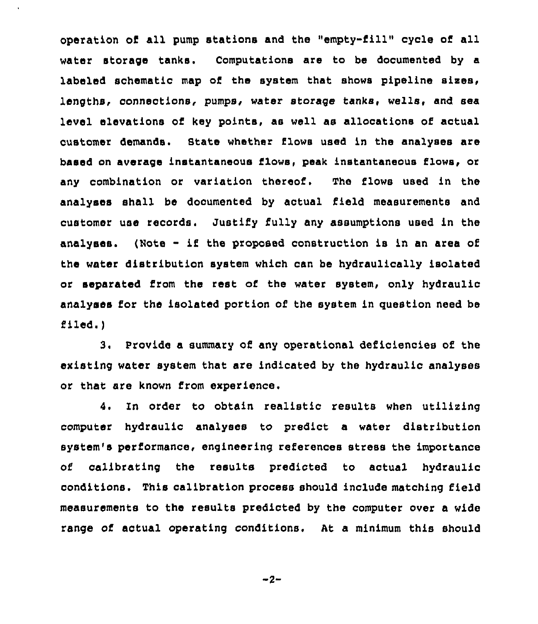operation of all pump stations and the "empty-till" cycle of all water storage tanks. Computations are to be documented by a labeled schematic map of the system that shows pipeline sixes, lengths, connections, pumps, water storage tanks, wells, and sea level elevations of key points, as well as allocations of actual customer demands. Stats whether flows used in the analyses are based on average instantaneous flows, peak instantaneous flows, or any combination or variation thereof. The flows used in the analyses shall be documented by actual field measurements and customer use records. Justify fully any assumptions used in the analyses. (Note - if the proposed construction is in an area of the water distribution system which can be hydraulically isolated or separated from the rest of the water system, only hydraulic analyses for the isolated portion of the system in question need be filed. )

3. Provide a summary of any operational deficiencies of the existing water system that are indicated by the hydraulic analyses or that are known from experience.

4. In order to obtain realistic results when utilising computer hydraulic analyses to predict a water distribution system's performance, engineering references stress the importance of calibrating the results predicted to actual hydraulic conditions. This calibration process should include matching field measurements to the results predicted by the computer over a wide range of actual operating conditions. At a minimum this should

 $-2-$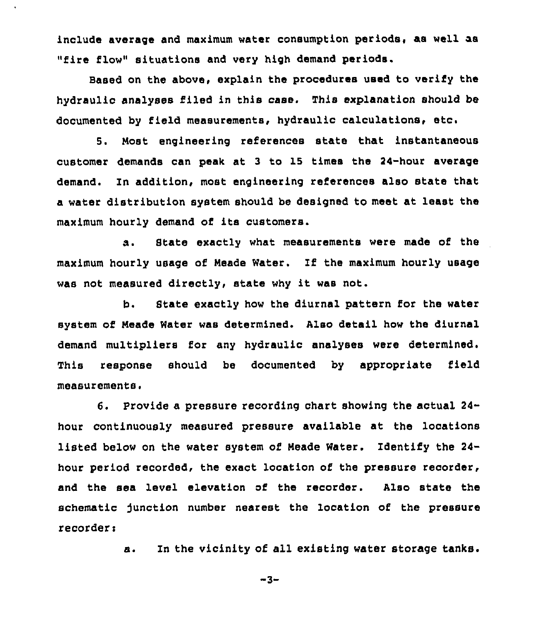include average and maximum water consumption periods, aa well as "fire flow" situations and very high demand periods.

Based on the above, explain the procedures used to verify the hydraulic analyses filed in this case. This explanation should be documented by field measurements, hydraulic calculations, etc.

5. Nost engineering references state that instantaneous customer demands can peak at 3 to 15 times the 24-hour average demand. In addition, most engineering references also state that a water distribution system should be designed to meet at least the maximum hourly demand of its customers.

s. State exactly what measurements were made of the maximum hourly usage of Heads Water. If the maximum hourly usage was not measured directly, state why it was not.

b. State exactly how the diurnal pattern for the water system of Heade Water was determined. Also detail how the diurnal demand multipliers for any hydraulic analyses were determined. This response should be documented by appropriate field measurements.

6. Provide a pressure recording chart showing the actual 24 hour continuously measured pressure available at the locations listed below on the water system of Meade Water. Identify the 24 hour period recorded, the exact location of the pressure recorder, and the sea level elevation of the recorder. Also state the schematic function number nearest the location of the pressure recorder:

a. In the vicinity of all existing water storage tanks.

 $-3-$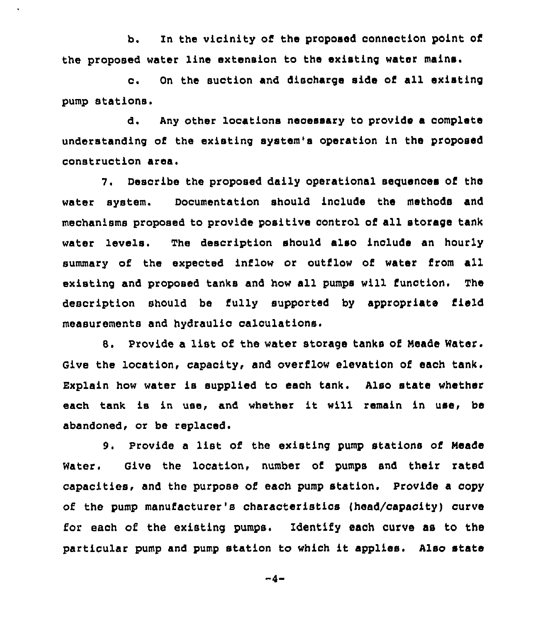b. In the vicinity of the proposed conneotion point of the proposed water line extension to the existing water mains.

c. On the suction and discharge side of all existing pump stations.

d. Any other locations necessary to provide a complete understanding of the existing system's operation in the proposed construction area.

7. Describe the proposed daily operational sequences of the water system. Documentation should include the methods and mechanisms proposed to provide positive control of all storage tank water levels. The description should also inolude an hourly summary of the expected inflow or outflow of water from all existing and proposed tanks and how all pumps will function, The description should be fully supported by appropriate field measurements and hydraulio calculations.

8. Provide a list of the water storage tanks of Meade Water. Give the location, capacity, and overflow elevation of each tank. Explain how water is supplied to each tank. Also state whether each tank is in use, and whether it will remain in use, be abandoned, or be replaced.

9. Provide a list of the existing pump stations of Meade Water. Give the location, number of. pumps and their rated capacities, and the purpose of each pump station. Provide a copy of the pump manufacturer's characteristics (head/capacity) curve for each of the existing pumps. Identify each curve as to the particular pump and pump station to which it applies. Also state

 $-4-$